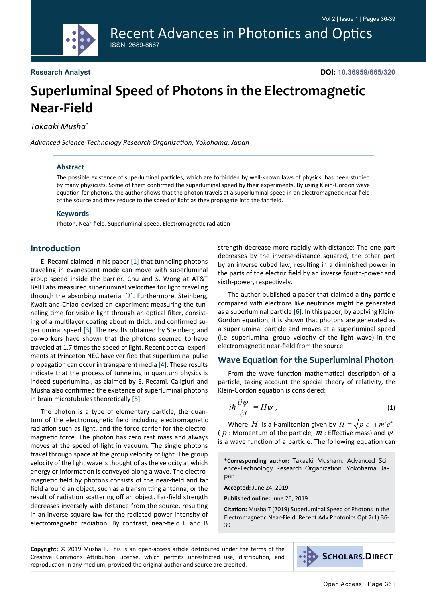Recent Advances in Photonics and Optics ISSN: 2689-8667

# **Superluminal Speed of Photons in the Electromagnetic Near-Field**

*Takaaki Musha\**

*Advanced Science-Technology Research Organization, Yokohama, Japan*

### **Abstract**

The possible existence of superluminal particles, which are forbidden by well-known laws of physics, has been studied by many physicists. Some of them confirmed the superluminal speed by their experiments. By using Klein-Gordon wave equation for photons, the author shows that the photon travels at a superluminal speed in an electromagnetic near field of the source and they reduce to the speed of light as they propagate into the far field.

#### **Keywords**

Photon, Near-field, Superluminal speed, Electromagnetic radiation

## **Introduction**

E. Recami claimed in his paper [\[1](#page-3-0)] that tunneling photons traveling in evanescent mode can move with superluminal group speed inside the barrier. Chu and S. Wong at AT&T Bell Labs measured superluminal velocities for light traveling through the absorbing material [[2\]](#page-3-1). Furthermore, Steinberg, Kwait and Chiao devised an experiment measuring the tunneling time for visible light through an optical filter, consisting of a multilayer coating about m thick, and confirmed superluminal speed [[3\]](#page-3-2). The results obtained by Steinberg and co-workers have shown that the photons seemed to have traveled at 1.7 times the speed of light. Recent optical experiments at Princeton NEC have verified that superluminal pulse propagation can occur in transparent media [[4\]](#page-3-3). These results indicate that the process of tunneling in quantum physics is indeed superluminal, as claimed by E. Recami. Caligiuri and Musha also confirmed the existence of superluminal photons in brain microtubules theoretically [[5\]](#page-3-4).

The photon is a type of elementary particle, the quantum of the electromagnetic field including electromagnetic radiation such as light, and the force carrier for the electromagnetic force. The photon has zero rest mass and always moves at the speed of light in vacuum. The single photons travel through space at the group velocity of light. The group velocity of the light wave is thought of as the velocity at which energy or information is conveyed along a wave. The electromagnetic field by photons consists of the near-field and far field around an object, such as a transmitting antenna, or the result of radiation scattering off an object. Far-field strength decreases inversely with distance from the source, resulting in an inverse-square law for the radiated power intensity of electromagnetic radiation. By contrast, near-field E and B

strength decrease more rapidly with distance: The one part decreases by the inverse-distance squared, the other part by an inverse cubed law, resulting in a diminished power in the parts of the electric field by an inverse fourth-power and sixth-power, respectively.

The author published a paper that claimed a tiny particle compared with electrons like neutrinos might be generated as a superluminal particle [\[6](#page-3-5)]. In this paper, by applying Klein-Gordon equation, it is shown that photons are generated as a superluminal particle and moves at a superluminal speed (i.e. superluminal group velocity of the light wave) in the electromagnetic near-field from the source.

## **Wave Equation for the Superluminal Photon**

From the wave function mathematical description of a particle, taking account the special theory of relativity, the Klein-Gordon equation is considered:

$$
i\hbar \frac{\partial \psi}{\partial t} = H\psi \,, \tag{1}
$$

Where *H* is a Hamiltonian given by  $H = \sqrt{p^2c^2 + m^2c^4}$ (  $p$  : Momentum of the particle,  $m$  : Effective mass) and  $\psi$ is a wave function of a particle. The following equation can

**\*Corresponding author:** Takaaki Musham, Advanced Science-Technology Research Organization, Yokohama, Japan

**Accepted:** June 24, 2019

**Published online:** June 26, 2019

**Citation:** Musha T (2019) Superluminal Speed of Photons in the Electromagnetic Near-Field. Recent Adv Photonics Opt 2(1):36- 39

**Copyright:** © 2019 Musha T. This is an open-access article distributed under the terms of the Creative Commons Attribution License, which permits unrestricted use, distribution, and reproduction in any medium, provided the original author and source are credited.

**SCHOLARS.DIRECT**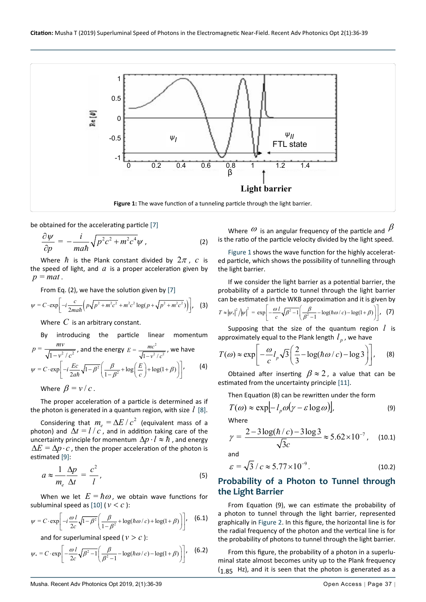<span id="page-1-0"></span>

be obtained for the accelerating particle [\[7](#page-3-7)]

$$
\frac{\partial \psi}{\partial p} = -\frac{i}{mah} \sqrt{p^2 c^2 + m^2 c^4} \psi , \qquad (2)
$$

Where  $\hbar$  is the Plank constant divided by  $2\pi$ , c is the speed of light, and  $a$  is a proper acceleration given by  $p = mat$ .

From Eq. (2), we have the solution given by [\[7](#page-3-7)]

$$
\psi = C \cdot \exp\left[-i\frac{c}{2m a \hbar} \left(p\sqrt{p^2 + m^2 c^2} + m^2 c^2 \log(p + \sqrt{p^2 + m^2 c^2})\right)\right], \quad (3)
$$

Where *C* is an arbitrary constant.

By introducing the particle linear momentum  
\n
$$
p = \frac{mv}{\sqrt{1 - v^2/c^2}}
$$
, and the energy  $E = \frac{mc^2}{\sqrt{1 - v^2/c^2}}$ , we have  
\n
$$
\psi = C \cdot \exp\left[-i\frac{Ec}{2a\hbar}\sqrt{1 - \beta^2}\left(\frac{\beta}{1 - \beta^2} + \log\left(\frac{E}{c}\right) + \log(1 + \beta)\right)\right],
$$
 (4)

Where  $\beta = v/c$ .

The proper acceleration of a particle is determined as if the photon is generated in a quantum region, with size *l* [[8\]](#page-3-8).

Considering that  $m_e = \Delta E / c^2$  (equivalent mass of a photon) and  $\Delta t = l/c$ , and in addition taking care of the uncertainty principle for momentum  $\Delta p \cdot l \approx \hbar$ , and energy  $\Delta E = \Delta p \cdot c$ , then the proper acceleration of the photon is estimated [[9\]](#page-3-9):

$$
a \approx \frac{1}{m_e} \frac{\Delta p}{\Delta t} = \frac{c^2}{l},\tag{5}
$$

When we let  $E = \hbar \omega$ , we obtain wave functions for subluminal speed as [\[10](#page-3-10)] ( $v < c$ ):

$$
\psi = C \cdot \exp\left[-i\frac{\omega l}{2c}\sqrt{1-\beta^2}\left(\frac{\beta}{1-\beta^2} + \log(\hbar\omega/c) + \log(1+\beta)\right)\right], \quad (6.1)
$$

and for superluminal speed ( $v > c$ ):

$$
\psi_* = C \cdot \exp\left[-\frac{\omega l}{2c} \sqrt{\beta^2 - 1} \left(\frac{\beta}{\beta^2 - 1} - \log(\hbar \omega / c) - \log(1 + \beta)\right)\right], \quad (6.2)
$$

Where  $\omega$  is an angular frequency of the particle and  $\beta$ is the ratio of the particle velocity divided by the light speed.

[Figure 1](#page-1-0) shows the wave function for the highly accelerated particle, which shows the possibility of tunnelling through the light barrier.

If we consider the light barrier as a potential barrier, the probability of a particle to tunnel through the light barrier can be estimated in the WKB approximation and it is given by

$$
T \approx |\psi_*|^2/|\psi|^2 = \exp\left[-\frac{\omega l}{c}\sqrt{\beta^2-1}\left(\frac{\beta}{\beta^2-1}-\log(\hbar\omega/c)-\log(1+\beta)\right)\right], \quad (7)
$$

Supposing that the size of the quantum region *l* is approximately equal to the Plank length  $l_p$ , we have

$$
T(\omega) \approx \exp\left[-\frac{\omega}{c}l_p\sqrt{3}\left(\frac{2}{3}-\log(\hbar\omega/c)-\log 3\right)\right],
$$
 (8)

Obtained after inserting  $\beta \approx 2$ , a value that can be estimated from the uncertainty principle [\[11\]](#page-3-6).

Then Equation (8) can be rewritten under the form

$$
T(\omega) \approx \exp[-l_p \omega(\gamma - \varepsilon \log \omega)], \qquad (9)
$$

Where

$$
\gamma = \frac{2 - 3\log(\hbar/c) - 3\log 3}{\sqrt{3}c} \approx 5.62 \times 10^{-7}, \quad (10.1)
$$

and

$$
\varepsilon = \sqrt{3} / c \approx 5.77 \times 10^{-9}.
$$
 (10.2)

# **Probability of a Photon to Tunnel through the Light Barrier**

From Equation (9), we can estimate the probability of a photon to tunnel through the light barrier, represented graphically in [Figure 2](#page-2-0). In this figure, the horizontal line is for the radial frequency of the photon and the vertical line is for the probability of photons to tunnel through the light barrier.

From this figure, the probability of a photon in a superluminal state almost becomes unity up to the Plank frequency  $(1.85$  Hz), and it is seen that the photon is generated as a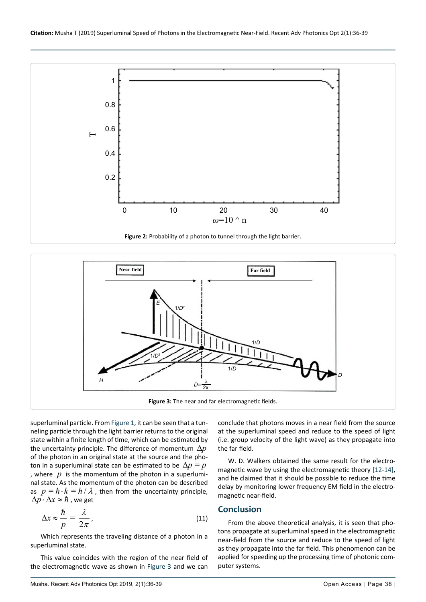<span id="page-2-0"></span>

<span id="page-2-1"></span>

superluminal particle. From [Figure 1,](#page-1-0) it can be seen that a tunneling particle through the light barrier returns to the original state within a finite length of time, which can be estimated by the uncertainty principle. The difference of momentum ∆*p* of the photon in an original state at the source and the photon in a superluminal state can be estimated to be  $\Delta p = p$ , where  $p$  is the momentum of the photon in a superluminal state. As the momentum of the photon can be described as  $p = \hbar \cdot k = h / \lambda$ , then from the uncertainty principle,  $\Delta p \cdot \Delta x \approx \hbar$ , we get

$$
\Delta x \approx \frac{\hbar}{p} = \frac{\lambda}{2\pi},\tag{11}
$$

Which represents the traveling distance of a photon in a superluminal state.

This value coincides with the region of the near field of the electromagnetic wave as shown in [Figure 3](#page-2-1) and we can

conclude that photons moves in a near field from the source at the superluminal speed and reduce to the speed of light (i.e. group velocity of the light wave) as they propagate into the far field.

W. D. Walkers obtained the same result for the electromagnetic wave by using the electromagnetic theory [[12](#page-3-11)[-14](#page-3-12)], and he claimed that it should be possible to reduce the time delay by monitoring lower frequency EM field in the electromagnetic near-field.

### **Conclusion**

From the above theoretical analysis, it is seen that photons propagate at superluminal speed in the electromagnetic near-field from the source and reduce to the speed of light as they propagate into the far field. This phenomenon can be applied for speeding up the processing time of photonic computer systems.